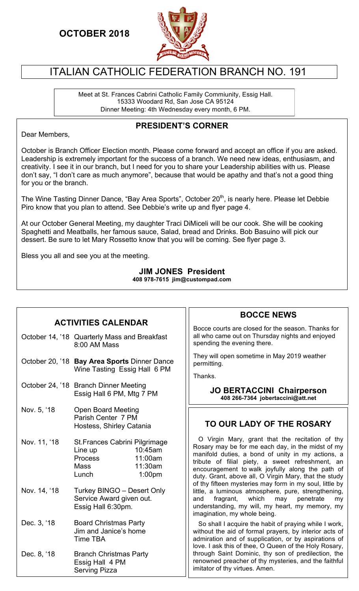## **OCTOBER 2018**



## ITALIAN CATHOLIC FEDERATION BRANCH NO. 191

Meet at St. Frances Cabrini Catholic Family Commiunity, Essig Hall. 15333 Woodard Rd, San Jose CA 95124 Dinner Meeting: 4th Wednesday every month, 6 PM.

#### **PRESIDENT'S CORNER**

Dear Members,

October is Branch Officer Election month. Please come forward and accept an office if you are asked. Leadership is extremely important for the success of a branch. We need new ideas, enthusiasm, and creativity. I see it in our branch, but I need for you to share your Leadership abilities with us. Please don't say, "I don't care as much anymore", because that would be apathy and that's not a good thing for you or the branch.

The Wine Tasting Dinner Dance, "Bay Area Sports", October 20<sup>th</sup>, is nearly here. Please let Debbie Piro know that you plan to attend. See Debbie's write up and flyer page 4.

At our October General Meeting, my daughter Traci DiMiceli will be our cook. She will be cooking Spaghetti and Meatballs, her famous sauce, Salad, bread and Drinks. Bob Basuino will pick our dessert. Be sure to let Mary Rossetto know that you will be coming. See flyer page 3.

Bless you all and see you at the meeting.

#### **JIM JONES President 408 978-7615 jim@custompad.com**

### **ACTIVITIES CALENDAR**

October 14, '18 Quarterly Mass and Breakfast 8:00 AM Mass October 20, '18 **Bay Area Sports** Dinner Dance Wine Tasting Essig Hall 6 PM October 24, '18 Branch Dinner Meeting Essig Hall 6 PM, Mtg 7 PM Nov. 5, '18 Open Board Meeting Parish Center 7 PM Hostess, Shirley Catania Nov. 11, '18 St.Frances Cabrini Pilgrimage Line up 10:45am Process 11:00am Mass 11:30am Lunch 1:00pm Nov. 14, '18 Turkey BINGO – Desert Only Service Award given out. Essig Hall 6:30pm. Dec. 3, '18 Board Christmas Party Jim and Janice's home Time TBA Dec. 8, '18 Branch Christmas Party Essig Hall 4 PM Serving Pizza

### **BOCCE NEWS**

Bocce courts are closed for the season. Thanks for all who came out on Thursday nights and enjoyed spending the evening there.

They will open sometime in May 2019 weather permitting.

Thanks.

**JO BERTACCINI Chairperson 408 266-7364 jobertaccini@att.net** 

### **TO OUR LADY OF THE ROSARY**

 O Virgin Mary, grant that the recitation of thy Rosary may be for me each day, in the midst of my manifold duties, a bond of unity in my actions, a tribute of filial piety, a sweet refreshment, an encouragement to walk joyfully along the path of duty. Grant, above all, O Virgin Mary, that the study of thy fifteen mysteries may form in my soul, little by little, a luminous atmosphere, pure, strengthening,<br>and fragrant, which may penetrate my and fragrant, which may penetrate my understanding, my will, my heart, my memory, my imagination, my whole being.

 So shall I acquire the habit of praying while I work, without the aid of formal prayers, by interior acts of admiration and of supplication, or by aspirations of love. I ask this of thee, O Queen of the Holy Rosary, through Saint Dominic, thy son of predilection, the renowned preacher of thy mysteries, and the faithful imitator of thy virtues. Amen.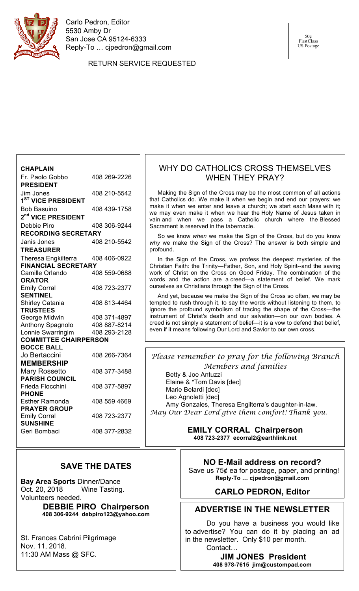

Carlo Pedron, Editor 5530 Amby Dr San Jose CA 95124-6333 Reply-To … cjpedron@gmail.com

RETURN SERVICE REQUESTED

**CHAPLAIN**  Fr. Paolo Gobbo 408 269-2226 **PRESIDENT** Jim Jones 408 210-5542 **1ST VICE PRESIDENT** Bob Basuino 408 439-1758 **2nd VICE PRESIDENT** Debbie Piro 408 306-9244 **RECORDING SECRETARY** Janis Jones 408 210-5542 **TREASURER** Theresa Engkilterra 408 406-0922 **FINANCIAL SECRETARY** Camille Orlando **ORATOR** Emily Corral 408 723-2377 **SENTINEL** Shirley Catania 408 813-4464 **TRUSTEES** George Midwin 408 371-4897 Anthony Spagnolo 408 887-8214 Lonnie Swarringim 408 293-2128 **COMMITTEE CHAIRPERSON BOCCE BALL** Jo Bertaccini 408 266-7364 **MEMBERSHIP** Mary Rossetto 408 377-3488 **PARISH COUNCIL** Frieda Flocchini 408 377-5897 **PHONE** Esther Ramonda 408 559 4669 **PRAYER GROUP** Emily Corral 408 723-2377 **SUNSHINE** Geri Bombaci 408 377-2832

#### **SAVE THE DATES**

**Bay Area Sports** Dinner/Dance Oct. 20, 2018 Wine Tasting. Volunteers needed.

**DEBBIE PIRO Chairperson 408 306-9244 debpiro123@yahoo.com**

St. Frances Cabrini Pilgrimage Nov. 11, 2018. 11:30 AM Mass @ SFC.

#### WHY DO CATHOLICS CROSS THEMSELVES WHEN THEY PRAY?

 Making the Sign of the Cross may be the most common of all actions that Catholics do. We make it when we begin and end our prayers; we make it when we enter and leave a church; we start each Mass with it; we may even make it when we hear the Holy Name of Jesus taken in vain and when we pass a Catholic church where the Blessed Sacrament is reserved in the tabernacle.

 So we know *when* we make the Sign of the Cross, but do you know *why* we make the Sign of the Cross? The answer is both simple and profound.

 In the Sign of the Cross, we profess the deepest mysteries of the Christian Faith: the Trinity—Father, Son, and Holy Spirit--and the saving work of Christ on the Cross on Good Friday. The combination of the words and the action are a creed—a statement of belief. We mark ourselves as Christians through the Sign of the Cross.

 And yet, because we make the Sign of the Cross so often, we may be tempted to rush through it, to say the words without listening to them, to ignore the profound symbolism of tracing the shape of the Cross—the instrument of Christ's death and our salvation—on our own bodies. A creed is not simply a statement of belief—it is a vow to defend that belief, even if it means following Our Lord and Savior to our own cross.

*Please remember to pray for the following Branch Members and families* 

Betty & Joe Antuzzi Elaine & \*Tom Davis [dec] Marie Belardi [dec] Leo Agnoletti [dec] Amy Gonzales, Theresa Engilterra's daughter-in-law. *May Our Dear Lord give them comfort! Thank you.*

> **EMILY CORRAL Chairperson 408 723-2377 ecorral2@earthlink.net**

**NO E-Mail address on record?**

Save us 75¢ ea for postage, paper, and printing! **Reply-To … cjpedron@gmail.com**

#### **CARLO PEDRON, Editor**

#### **ADVERTISE IN THE NEWSLETTER**

Do you have a business you would like to advertise? You can do it by placing an ad in the newsletter. Only \$10 per month. Contact…

> **JIM JONES President 408 978-7615 jim@custompad.com**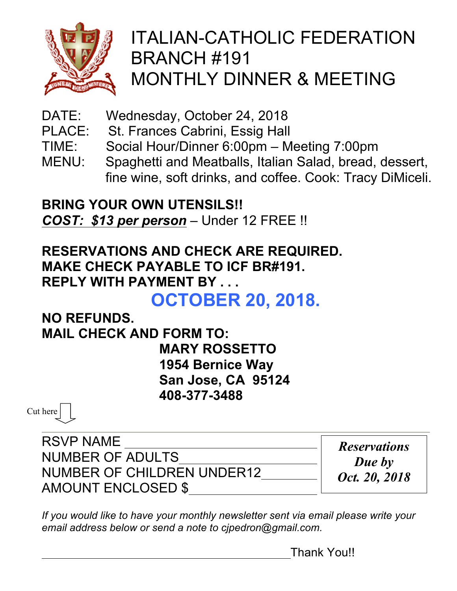

# ITALIAN-CATHOLIC FEDERATION BRANCH #191 MONTHLY DINNER & MEETING

- DATE: Wednesday, October 24, 2018
- PLACE: St. Frances Cabrini, Essig Hall
- TIME: Social Hour/Dinner 6:00pm Meeting 7:00pm
- MENU: Spaghetti and Meatballs, Italian Salad, bread, dessert, fine wine, soft drinks, and coffee. Cook: Tracy DiMiceli.

**BRING YOUR OWN UTENSILS!!** *COST: \$13 per person* – Under 12 FREE !!

## **RESERVATIONS AND CHECK ARE REQUIRED. MAKE CHECK PAYABLE TO ICF BR#191. REPLY WITH PAYMENT BY . . .**

**OCTOBER 20, 2018.**

**NO REFUNDS. MAIL CHECK AND FORM TO:**

**MARY ROSSETTO 1954 Bernice Way San Jose, CA 95124 408-377-3488**

Cut here

RSVP NAME NUMBER OF ADULTS NUMBER OF CHILDREN UNDER12 AMOUNT ENCLOSED \$

*Reservations Due by Oct. 20, 2018*

*If you would like to have your monthly newsletter sent via email please write your email address below or send a note to cjpedron@gmail.com.*

Thank You!!